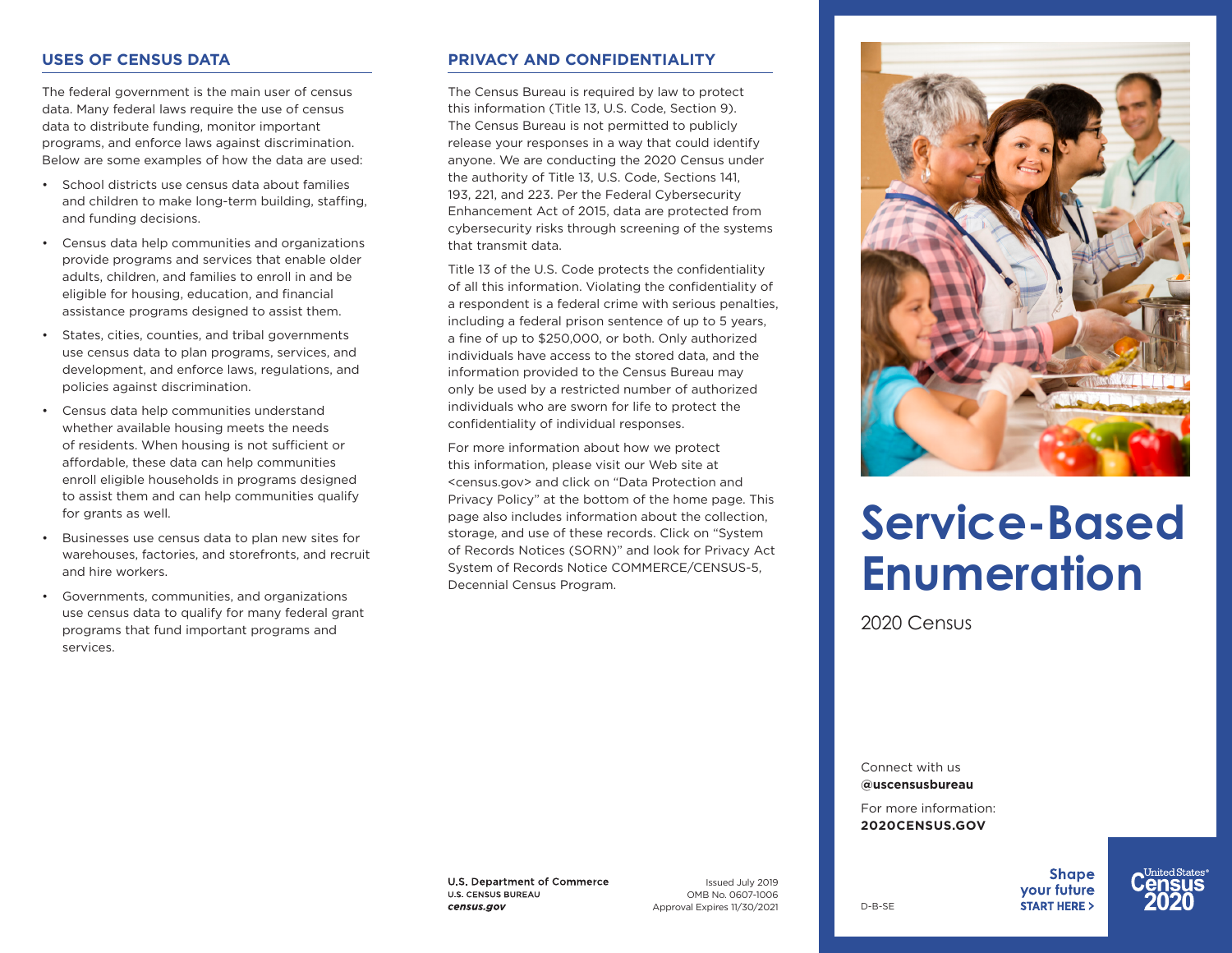### **USES OF CENSUS DATA**

The federal government is the main user of census data. Many federal laws require the use of census data to distribute funding, monitor important programs, and enforce laws against discrimination. Below are some examples of how the data are used:

- School districts use census data about families and children to make long-term building, staffing, and funding decisions.
- Census data help communities and organizations provide programs and services that enable older adults, children, and families to enroll in and be eligible for housing, education, and financial assistance programs designed to assist them.
- States, cities, counties, and tribal governments use census data to plan programs, services, and development, and enforce laws, regulations, and policies against discrimination.
- Census data help communities understand whether available housing meets the needs of residents. When housing is not sufficient or affordable, these data can help communities enroll eligible households in programs designed to assist them and can help communities qualify for grants as well.
- Businesses use census data to plan new sites for warehouses, factories, and storefronts, and recruit and hire workers.
- Governments, communities, and organizations use census data to qualify for many federal grant programs that fund important programs and services.

## **PRIVACY AND CONFIDENTIALITY**

The Census Bureau is required by law to protect this information (Title 13, U.S. Code, Section 9). The Census Bureau is not permitted to publicly release your responses in a way that could identify anyone. We are conducting the 2020 Census under the authority of Title 13, U.S. Code, Sections 141, 193, 221, and 223. Per the Federal Cybersecurity Enhancement Act of 2015, data are protected from cybersecurity risks through screening of the systems that transmit data.

Title 13 of the U.S. Code protects the confidentiality of all this information. Violating the confidentiality of a respondent is a federal crime with serious penalties, including a federal prison sentence of up to 5 years, a fine of up to \$250,000, or both. Only authorized individuals have access to the stored data, and the information provided to the Census Bureau may only be used by a restricted number of authorized individuals who are sworn for life to protect the confidentiality of individual responses.

For more information about how we protect this information, please visit our Web site at <census.gov> and click on "Data Protection and Privacy Policy" at the bottom of the home page. This page also includes information about the collection, storage, and use of these records. Click on "System of Records Notices (SORN)" and look for Privacy Act System of Records Notice COMMERCE/CENSUS-5, Decennial Census Program.



# **Service-Based Enumeration**

2020 Census

Connect with us **@uscensusbureau** 

For more information: **2020CENSUS.GOV**

D-B-SE

**Shape** vour future **START HERE >** 



U.S. Department of Commerce **U.S. CENSUS BUREAU** census.gov

Issued July 2019 OMB No. 0607-1006 Approval Expires 11/30/2021